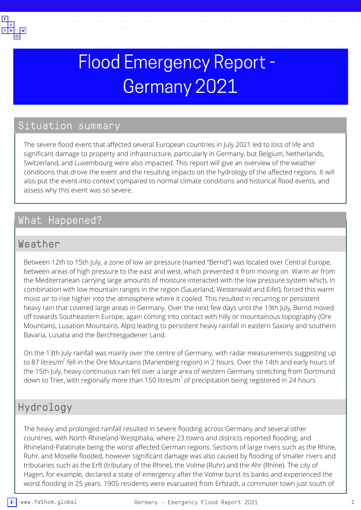

# Flood Emergency Report - Germany 2021

# Situation summary

The severe flood event that affected several European countries in July 2021 led to loss of life and significant damage to property and infrastructure, particularly in Germany, but Belgium, Netherlands, Switzerland, and Luxembourg were also impacted. This report will give an overview of the weather conditions that drove the event and the resulting impacts on the hydrology of the affected regions. It will also put the event into context compared to normal climate conditions and historical flood events, and assess why this event was so severe.

# What Happened?

#### Weather

Between 12th to 15th July, a zone of low air pressure (named "Bernd") was located over Central Europe, between areas of high pressure to the east and west, which prevented it from moving on. Warm air from the Mediterranean carrying large amounts of moisture interacted with the low pressure system which, in combination with low mountain ranges in the region (Sauerland, Westerwald and Eifel), forced this warm moist air to rise higher into the atmosphere where it cooled. This resulted in recurring or persistent heavy rain that covered large areas in Germany. Over the next few days until the 19th July, Bernd moved off towards Southeastern Europe, again coming into contact with hilly or mountainous topography (Ore Mountains, Lusation Mountains, Alps) leading to persistent heavy rainfall in eastern Saxony and southern Bavaria, Lusatia and the Berchtesgadener Land.

On the 13th July rainfall was mainly over the centre of Germany, with radar measurements suggesting up to 87 litres/m $^{2}$  fell in the Ore Mountains (Marienberg region) in 2 hours. Over the 14th and early hours of the 15th July, heavy continuous rain fell over a large area of western Germany stretching from Dortmund down to Trier, with regionally more than 150 litres/m $^{2}$  of precipitation being registered in 24 hours $^{1}\!.$ 

#### Hydrology

The heavy and prolonged rainfall resulted in severe flooding across Germany and several other countries, with North Rhineland-Westphalia, where 23 towns and districts reported flooding, and Rhineland-Palatinate being the worst affected German regions. Sections of large rivers such as the Rhine, Ruhr, and Moselle flooded, however significant damage was also caused by flooding of smaller rivers and tributaries such as the Erft (tributary of the Rhine), the Volme (Ruhr) and the Ahr (Rhine). The city of Hagen, for example, declared a state of emergency after the Volme burst its banks and experienced the worst flooding in 25 years. 1905 residents were evacuated from Erfstadt, a commuter town just south of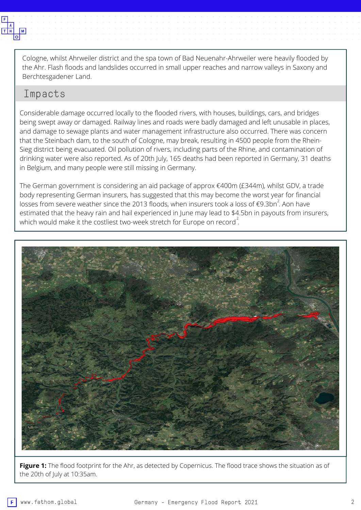

Cologne, whilst Ahrweiler district and the spa town of Bad Neuenahr-Ahrweiler were heavily flooded by the Ahr. Flash floods and landslides occurred in small upper reaches and narrow valleys in Saxony and Berchtesgadener Land.

#### Impacts

Considerable damage occurred locally to the flooded rivers, with houses, buildings, cars, and bridges being swept away or damaged. Railway lines and roads were badly damaged and left unusable in places, and damage to sewage plants and water management infrastructure also occurred. There was concern that the Steinbach dam, to the south of Cologne, may break, resulting in 4500 people from the Rhein-Sieg district being evacuated. Oil pollution of rivers, including parts of the Rhine, and contamination of drinking water were also reported. As of 20th July, 165 deaths had been reported in Germany, 31 deaths in Belgium, and many people were still missing in Germany.

The German government is considering an aid package of approx €400m (£344m), whilst GDV, a trade body representing German insurers, has suggested that this may become the worst year for financial losses from severe weather since the 2013 floods, when insurers took a loss of  $\epsilon$ 9.3bn $^2$ . Aon have estimated that the heavy rain and hail experienced in June may lead to \$4.5bn in payouts from insurers, which would make it the costliest two-week stretch for Europe on record $^2$ .



**Figure 1:** The flood footprint for the Ahr, as detected by Copernicus. The flood trace shows the situation as of the 20th of July at 10:35am.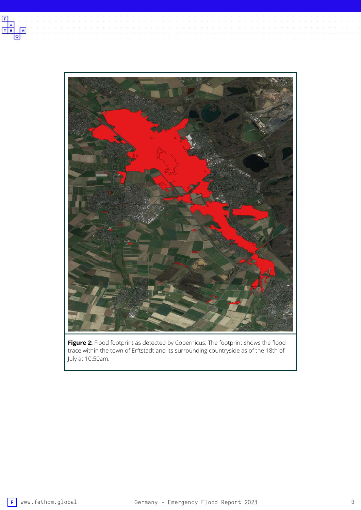



**Figure 2:** Flood footprint as detected by Copernicus. The footprint shows the flood trace within the town of Erftstadt and its surrounding countryside as of the 18th of July at 10:50am.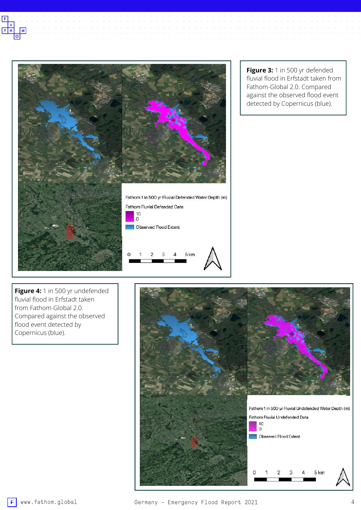



**Figure 3:** 1 in 500 yr defended fluvial flood in Erfstadt taken from Fathom-Global 2.0. Compared against the observed flood event detected by Copernicus (blue).

**Figure 4:** 1 in 500 yr undefended fluvial flood in Erfstadt taken from Fathom-Global 2.0. Compared against the observed flood event detected by Copernicus (blue).

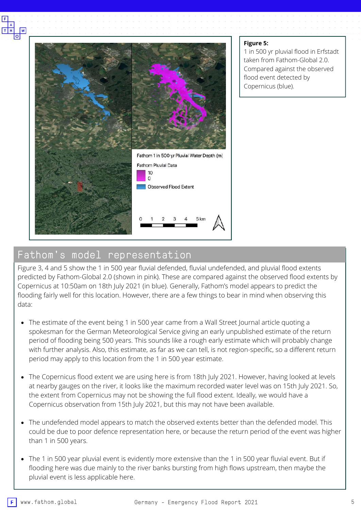

#### **Figure 5:**

1 in 500 yr pluvial flood in Erfstadt taken from Fathom-Global 2.0. Compared against the observed flood event detected by Copernicus (blue).

### Fathom's model representation

Figure 3, 4 and 5 show the 1 in 500 year fluvial defended, fluvial undefended, and pluvial flood extents predicted by Fathom-Global 2.0 (shown in pink). These are compared against the observed flood extents by Copernicus at 10:50am on 18th July 2021 (in blue). Generally, Fathom's model appears to predict the flooding fairly well for this location. However, there are a few things to bear in mind when observing this data:

- The estimate of the event being 1 in 500 year came from a Wall Street Journal article quoting a spokesman for the German Meteorological Service giving an early unpublished estimate of the return period of flooding being 500 years. This sounds like a rough early estimate which will probably change with further analysis. Also, this estimate, as far as we can tell, is not region-specific, so a different return period may apply to this location from the 1 in 500 year estimate.
- The Copernicus flood extent we are using here is from 18th July 2021. However, having looked at levels at nearby gauges on the river, it looks like the maximum recorded water level was on 15th July 2021. So, the extent from Copernicus may not be showing the full flood extent. Ideally, we would have a Copernicus observation from 15th July 2021, but this may not have been available.
- The undefended model appears to match the observed extents better than the defended model. This could be due to poor defence representation here, or because the return period of the event was higher than 1 in 500 years.
- The 1 in 500 year pluvial event is evidently more extensive than the 1 in 500 year fluvial event. But if flooding here was due mainly to the river banks bursting from high flows upstream, then maybe the pluvial event is less applicable here.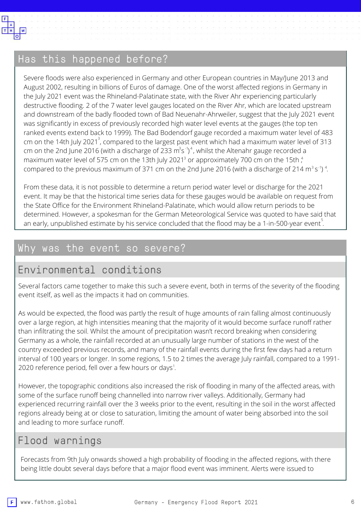

### Has this happened before?

Severe floods were also experienced in Germany and other European countries in May/June 2013 and August 2002, resulting in billions of Euros of damage. One of the worst affected regions in Germany in the July 2021 event was the Rhineland-Palatinate state, with the River Ahr experiencing particularly destructive flooding. 2 of the 7 water level gauges located on the River Ahr, which are located upstream and downstream of the badly flooded town of Bad Neuenahr-Ahrweiler, suggest that the July 2021 event was significantly in excess of previously recorded high water level events at the gauges (the top ten ranked events extend back to 1999). The Bad Bodendorf gauge recorded a maximum water level of 483 cm on the 14th July 2021 $^3$ , compared to the largest past event which had a maximum water level of 313 cm on the 2nd June 2016 (with a discharge of 233  $\mathrm{m^3s^{\text{-}})^4}$ , whilst the Altenahr gauge recorded a maximum water level of 575 cm on the 13th July 2021 $^{\text{3}}$  or approximately 700 cm on the 15th  $^{\text{4}}$ , compared to the previous maximum of 371 cm on the 2nd June 2016 (with a discharge of 214 m $^3$  s $^{\text{-1}}$ )  $^{\text{4}}$ .

From these data, it is not possible to determine a return period water level or discharge for the 2021 event. It may be that the historical time series data for these gauges would be available on request from the State Office for the Environment Rhineland-Palatinate, which would allow return periods to be determined. However, a spokesman for the German Meteorological Service was quoted to have said that an early, unpublished estimate by his service concluded that the flood may be a 1-in-500-year event $^{\mathbb{S}}.$ 

### Why was the event so severe?

# Environmental conditions

Several factors came together to make this such a severe event, both in terms of the severity of the flooding event itself, as well as the impacts it had on communities.

As would be expected, the flood was partly the result of huge amounts of rain falling almost continuously over a large region, at high intensities meaning that the majority of it would become surface runoff rather than infiltrating the soil. Whilst the amount of precipitation wasn't record breaking when considering Germany as a whole, the rainfall recorded at an unusually large number of stations in the west of the country exceeded previous records, and many of the rainfall events during the first few days had a return interval of 100 years or longer. In some regions, 1.5 to 2 times the average July rainfall, compared to a 1991- 2020 reference period, fell over a few hours or days<sup>1</sup>.

However, the topographic conditions also increased the risk of flooding in many of the affected areas, with some of the surface runoff being channelled into narrow river valleys. Additionally, Germany had experienced recurring rainfall over the 3 weeks prior to the event, resulting in the soil in the worst affected regions already being at or close to saturation, limiting the amount of water being absorbed into the soil and leading to more surface runoff.

# Flood warnings

Forecasts from 9th July onwards showed a high probability of flooding in the affected regions, with there being little doubt several days before that a major flood event was imminent. Alerts were issued to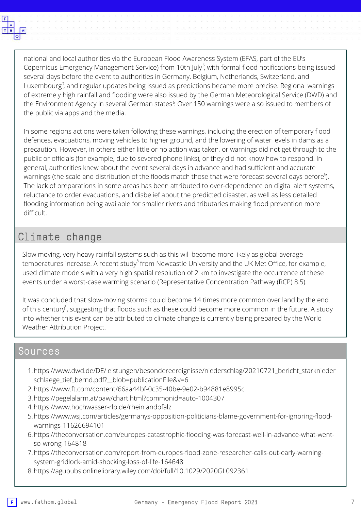

national and local authorities via the European Flood Awareness System (EFAS, part of the EU's Copernicus Emergency Management Service) from 10th July $\overset{\circ}{,}$  with formal flood notifications being issued several days before the event to authorities in Germany, Belgium, Netherlands, Switzerland, and Luxembourg $^7$ , and regular updates being issued as predictions became more precise. Regional warnings of extremely high rainfall and flooding were also issued by the German Meteorological Service (DWD) and the Environment Agency in several German states<sup>6</sup>. Over 150 warnings were also issued to members of the public via apps and the media.

In some regions actions were taken following these warnings, including the erection of temporary flood defences, evacuations, moving vehicles to higher ground, and the lowering of water levels in dams as a precaution. However, in others either little or no action was taken, or warnings did not get through to the public or officials (for example, due to severed phone links), or they did not know how to respond. In general, authorities knew about the event several days in advance and had sufficient and accurate warnings (the scale and distribution of the floods match those that were forecast several days before $^{\rm 6}\!$ ). The lack of preparations in some areas has been attributed to over-dependence on digital alert systems, reluctance to order evacuations, and disbelief about the predicted disaster, as well as less detailed flooding information being available for smaller rivers and tributaries making flood prevention more difficult.

## Climate change

Slow moving, very heavy rainfall systems such as this will become more likely as global average temperatures increase. A recent study $^{\text{\tiny 8}}$  from Newcastle University and the UK Met Office, for example, used climate models with a very high spatial resolution of 2 km to investigate the occurrence of these events under a worst-case warming scenario (Representative Concentration Pathway (RCP) 8.5).

It was concluded that slow-moving storms could become 14 times more common over land by the end of this century  $\beta$ , suggesting that floods such as these could become more common in the future. A study into whether this event can be attributed to climate change is currently being prepared by the World Weather Attribution Project.

#### Sources

- [https://www.dwd.de/DE/leistungen/besondereereignisse/niederschlag/20210721\\_bericht\\_starknieder](https://www.dwd.de/DE/leistungen/besondereereignisse/niederschlag/20210721_bericht_starkniederschlaege_tief_bernd.pdf?__blob=publicationFile&v=6) 1. schlaege\_tief\_bernd.pdf?\_blob=publicationFile&v=6
- <https://www.ft.com/content/66aa44bf-0c35-40be-9e02-b94881e8995c> 2.
- <https://pegelalarm.at/paw/chart.html?commonid=auto-1004307> 3.
- <https://www.hochwasser-rlp.de/rheinlandpfalz> 4.
- [https://www.wsj.com/articles/germanys-opposition-politicians-blame-government-for-ignoring-flood-](https://www.wsj.com/articles/germanys-opposition-politicians-blame-government-for-ignoring-flood-warnings-11626694101)5. warnings-11626694101
- [https://theconversation.com/europes-catastrophic-flooding-was-forecast-well-in-advance-what-went-](https://theconversation.com/europes-catastrophic-flooding-was-forecast-well-in-advance-what-went-so-wrong-164818)6. so-wrong-164818
- [https://theconversation.com/report-from-europes-flood-zone-researcher-calls-out-early-warning-](https://theconversation.com/report-from-europes-flood-zone-researcher-calls-out-early-warning-system-gridlock-amid-shocking-loss-of-life-164648)7. system-gridlock-amid-shocking-loss-of-life-164648
- <https://agupubs.onlinelibrary.wiley.com/doi/full/10.1029/2020GL092361> 8.